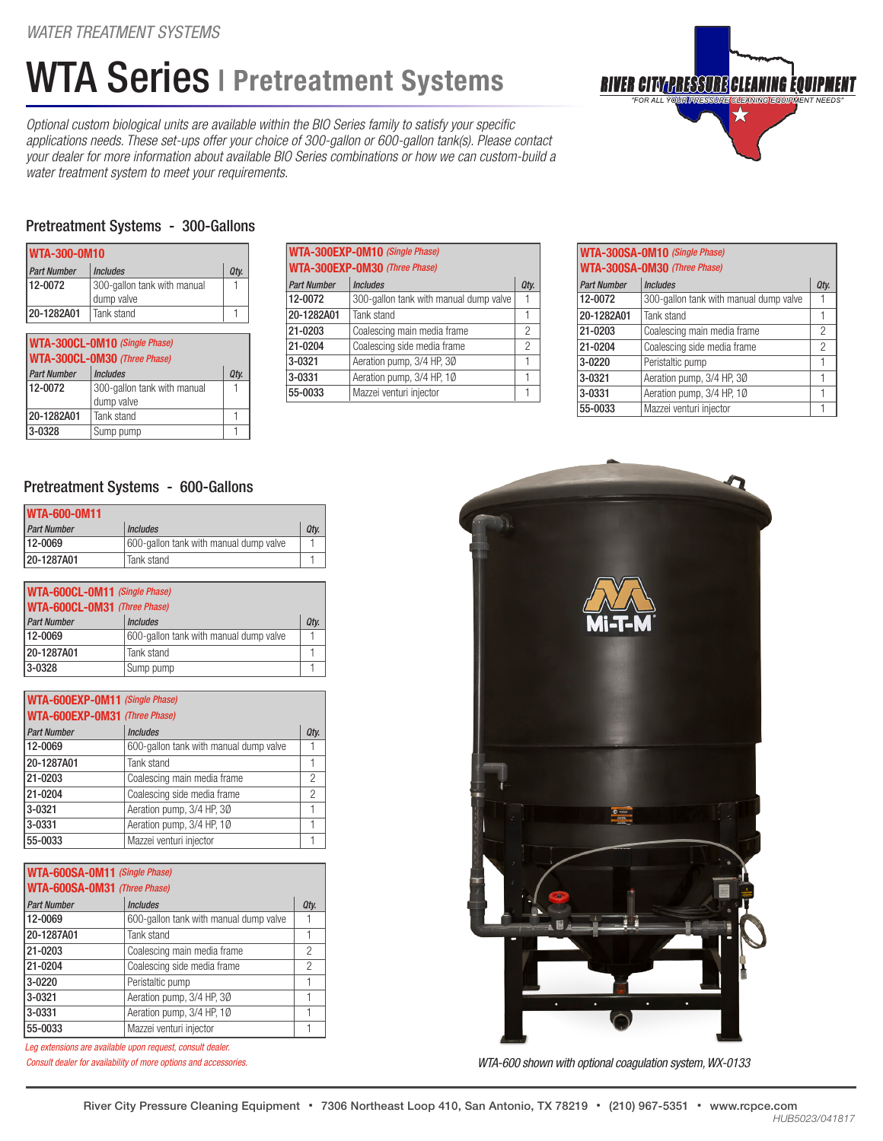## WTA Series | Pretreatment Systems

*Optional custom biological units are available within the BIO Series family to satisfy your specific applications needs. These set-ups offer your choice of 300-gallon or 600-gallon tank(s). Please contact your dealer for more information about available BIO Series combinations or how we can custom-build a water treatment system to meet your requirements.*



#### Pretreatment Systems - 300-Gallons

| <b>WTA-300-0M10</b>           |                                           |      |  |  |
|-------------------------------|-------------------------------------------|------|--|--|
| <b>Part Number</b>            | <b>Includes</b>                           | Qty. |  |  |
| 12-0072                       | 300-gallon tank with manual<br>dump valve |      |  |  |
| 20-1282A01                    | Tank stand                                |      |  |  |
| WTA-300CL-0M10 (Single Phase) |                                           |      |  |  |

| <b>I WIA-300GL-UMIO</b> (Single Phase)<br>WTA-300CL-0M30 (Three Phase) |                             |      |  |  |
|------------------------------------------------------------------------|-----------------------------|------|--|--|
| <b>Part Number</b>                                                     | <b>Includes</b>             | Qty. |  |  |
| 12-0072                                                                | 300-gallon tank with manual |      |  |  |
|                                                                        | dump valve                  |      |  |  |
| 20-1282A01                                                             | Tank stand                  |      |  |  |
| 3-0328                                                                 | Sump pump                   |      |  |  |

| WTA-300EXP-0M10 (Single Phase) |                                        |      |  |  |
|--------------------------------|----------------------------------------|------|--|--|
| WTA-300EXP-0M30 (Three Phase)  |                                        |      |  |  |
| <b>Part Number</b>             | <b>Includes</b>                        | Qty. |  |  |
| 12-0072                        | 300-gallon tank with manual dump valve |      |  |  |
| 20-1282A01                     | Tank stand                             |      |  |  |
| 21-0203                        | Coalescing main media frame            | 2    |  |  |
| 21-0204                        | Coalescing side media frame            | 2    |  |  |
| 3-0321                         | Aeration pump, 3/4 HP, 30              | 1    |  |  |
| 3-0331                         | Aeration pump, 3/4 HP, 10              | 1    |  |  |
| 55-0033                        | Mazzei venturi injector                |      |  |  |

| WTA-300SA-0M10 (Single Phase)<br>WTA-300SA-0M30 (Three Phase) |                                        |                |  |  |
|---------------------------------------------------------------|----------------------------------------|----------------|--|--|
| <b>Part Number</b>                                            | <b>Includes</b>                        | Qty.           |  |  |
| 12-0072                                                       | 300-gallon tank with manual dump valve |                |  |  |
| 20-1282A01                                                    | Tank stand                             | 1              |  |  |
| 21-0203                                                       | Coalescing main media frame            | 2              |  |  |
| 21-0204                                                       | Coalescing side media frame            | $\mathfrak{p}$ |  |  |
| 3-0220                                                        | Peristaltic pump                       |                |  |  |
| 3-0321                                                        | Aeration pump, 3/4 HP, 30              |                |  |  |
| 3-0331                                                        | Aeration pump, 3/4 HP, 10              |                |  |  |
| 55-0033                                                       | Mazzei venturi injector                |                |  |  |

#### Pretreatment Systems - 600-Gallons

| <b>WTA-600-0M11</b> |                                        |      |  |  |
|---------------------|----------------------------------------|------|--|--|
| <b>Part Number</b>  | <i><u><b>Includes</b></u></i>          | Qtv. |  |  |
| 12-0069             | 600-gallon tank with manual dump valve |      |  |  |
| 20-1287A01          | Tank stand                             |      |  |  |

| WTA-600CL-0M11 (Single Phase) |                                        |      |  |  |
|-------------------------------|----------------------------------------|------|--|--|
| WTA-600CL-0M31 (Three Phase)  |                                        |      |  |  |
| <b>Part Number</b>            | <b>Includes</b>                        | Qty. |  |  |
| $12 - 0069$                   | 600-gallon tank with manual dump valve |      |  |  |
| 20-1287A01                    | Tank stand                             |      |  |  |
| $ 3 - 0328 $                  | Sump pump                              |      |  |  |

| <b>WTA-600EXP-0M11</b> (Single Phase) |                                        |      |  |  |
|---------------------------------------|----------------------------------------|------|--|--|
| <b>WTA-600EXP-0M31</b> (Three Phase)  |                                        |      |  |  |
| <b>Part Number</b>                    | <b>Includes</b>                        | Qty. |  |  |
| 12-0069                               | 600-gallon tank with manual dump valve |      |  |  |
| 20-1287A01                            | Tank stand                             |      |  |  |
| 21-0203                               | Coalescing main media frame            | 2    |  |  |
| 21-0204                               | Coalescing side media frame            | 2    |  |  |
| 3-0321                                | Aeration pump, 3/4 HP, 30              |      |  |  |
| 3-0331                                | Aeration pump, 3/4 HP, 10              |      |  |  |
| 55-0033                               | Mazzei venturi injector                |      |  |  |

| WTA-600SA-0M11 (Single Phase)<br>WTA-600SA-0M31 (Three Phase) |                                        |      |  |  |
|---------------------------------------------------------------|----------------------------------------|------|--|--|
| <b>Part Number</b>                                            | <b>Includes</b>                        | Qty. |  |  |
| 12-0069                                                       | 600-gallon tank with manual dump valve |      |  |  |
| 20-1287A01                                                    | Tank stand                             |      |  |  |
| 21-0203                                                       | Coalescing main media frame            | 2    |  |  |
| 21-0204                                                       | Coalescing side media frame            | 2    |  |  |
| $3 - 0220$                                                    | Peristaltic pump                       | 1    |  |  |
| 3-0321                                                        | Aeration pump, 3/4 HP, 30              | 1    |  |  |
| 3-0331                                                        | Aeration pump, 3/4 HP, 10              |      |  |  |
| 55-0033                                                       | Mazzei venturi injector                |      |  |  |

*Consult dealer for availability of more options and accessories. Leg extensions are available upon request, consult dealer.*



*WTA-600 shown with optional coagulation system, WX-0133*